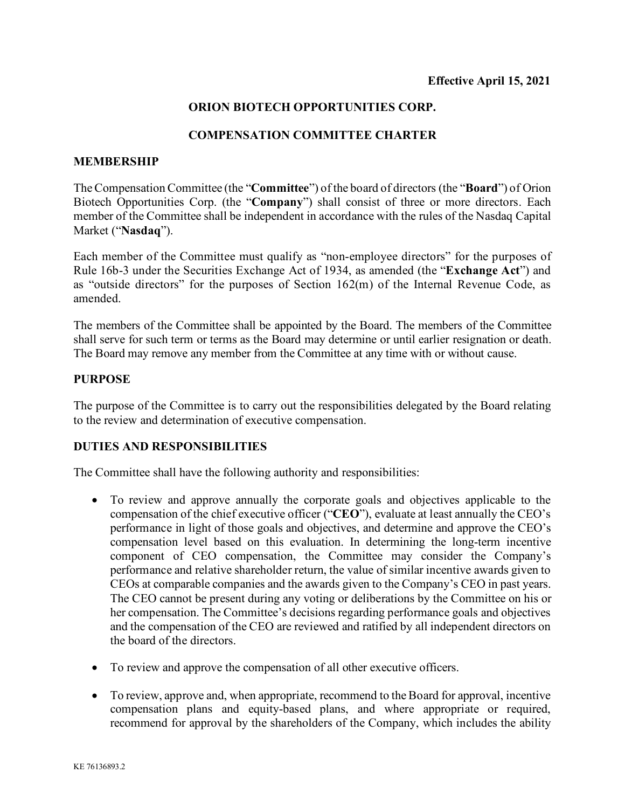### **ORION BIOTECH OPPORTUNITIES CORP.**

### **COMPENSATION COMMITTEE CHARTER**

#### **MEMBERSHIP**

The Compensation Committee (the "**Committee**") of the board of directors (the "**Board**") of Orion Biotech Opportunities Corp. (the "**Company**") shall consist of three or more directors. Each member of the Committee shall be independent in accordance with the rules of the Nasdaq Capital Market ("**Nasdaq**").

Each member of the Committee must qualify as "non-employee directors" for the purposes of Rule 16b-3 under the Securities Exchange Act of 1934, as amended (the "**Exchange Act**") and as "outside directors" for the purposes of Section 162(m) of the Internal Revenue Code, as amended.

The members of the Committee shall be appointed by the Board. The members of the Committee shall serve for such term or terms as the Board may determine or until earlier resignation or death. The Board may remove any member from the Committee at any time with or without cause.

#### **PURPOSE**

The purpose of the Committee is to carry out the responsibilities delegated by the Board relating to the review and determination of executive compensation.

### **DUTIES AND RESPONSIBILITIES**

The Committee shall have the following authority and responsibilities:

- To review and approve annually the corporate goals and objectives applicable to the compensation of the chief executive officer ("**CEO**"), evaluate at least annually the CEO's performance in light of those goals and objectives, and determine and approve the CEO's compensation level based on this evaluation. In determining the long-term incentive component of CEO compensation, the Committee may consider the Company's performance and relative shareholder return, the value of similar incentive awards given to CEOs at comparable companies and the awards given to the Company's CEO in past years. The CEO cannot be present during any voting or deliberations by the Committee on his or her compensation. The Committee's decisions regarding performance goals and objectives and the compensation of the CEO are reviewed and ratified by all independent directors on the board of the directors.
- To review and approve the compensation of all other executive officers.
- To review, approve and, when appropriate, recommend to the Board for approval, incentive compensation plans and equity-based plans, and where appropriate or required, recommend for approval by the shareholders of the Company, which includes the ability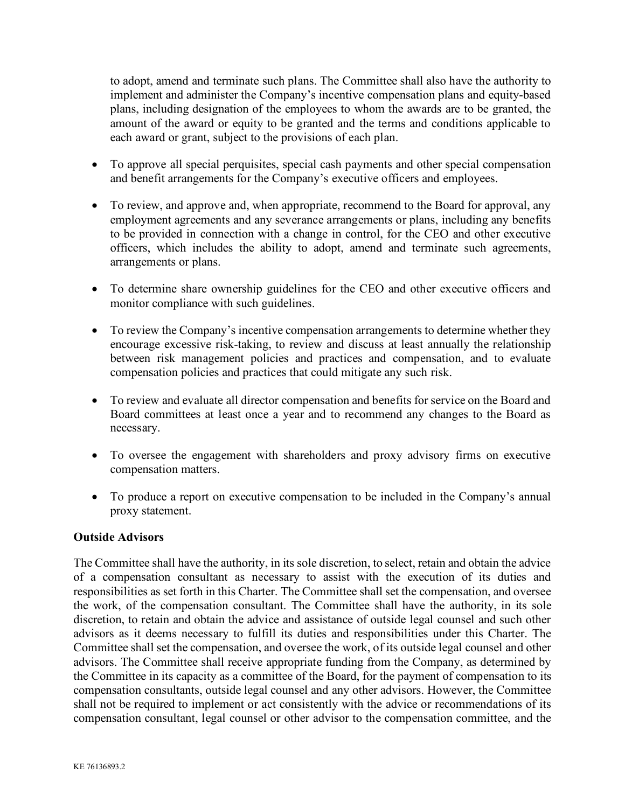to adopt, amend and terminate such plans. The Committee shall also have the authority to implement and administer the Company's incentive compensation plans and equity-based plans, including designation of the employees to whom the awards are to be granted, the amount of the award or equity to be granted and the terms and conditions applicable to each award or grant, subject to the provisions of each plan.

- To approve all special perquisites, special cash payments and other special compensation and benefit arrangements for the Company's executive officers and employees.
- To review, and approve and, when appropriate, recommend to the Board for approval, any employment agreements and any severance arrangements or plans, including any benefits to be provided in connection with a change in control, for the CEO and other executive officers, which includes the ability to adopt, amend and terminate such agreements, arrangements or plans.
- To determine share ownership guidelines for the CEO and other executive officers and monitor compliance with such guidelines.
- To review the Company's incentive compensation arrangements to determine whether they encourage excessive risk-taking, to review and discuss at least annually the relationship between risk management policies and practices and compensation, and to evaluate compensation policies and practices that could mitigate any such risk.
- To review and evaluate all director compensation and benefits for service on the Board and Board committees at least once a year and to recommend any changes to the Board as necessary.
- To oversee the engagement with shareholders and proxy advisory firms on executive compensation matters.
- To produce a report on executive compensation to be included in the Company's annual proxy statement.

# **Outside Advisors**

The Committee shall have the authority, in its sole discretion, to select, retain and obtain the advice of a compensation consultant as necessary to assist with the execution of its duties and responsibilities as set forth in this Charter. The Committee shall set the compensation, and oversee the work, of the compensation consultant. The Committee shall have the authority, in its sole discretion, to retain and obtain the advice and assistance of outside legal counsel and such other advisors as it deems necessary to fulfill its duties and responsibilities under this Charter. The Committee shall set the compensation, and oversee the work, of its outside legal counsel and other advisors. The Committee shall receive appropriate funding from the Company, as determined by the Committee in its capacity as a committee of the Board, for the payment of compensation to its compensation consultants, outside legal counsel and any other advisors. However, the Committee shall not be required to implement or act consistently with the advice or recommendations of its compensation consultant, legal counsel or other advisor to the compensation committee, and the